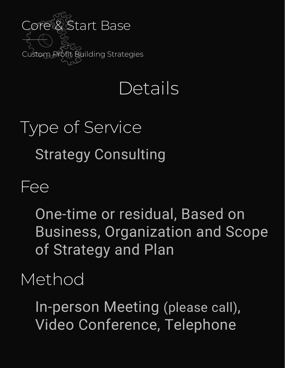

## Details

# Type of Service Strategy Consulting

Fee

One-time or residual, Based on Business, Organization and Scope of Strategy and Plan

Method

In-person Meeting (please call), Video Conference, Telephone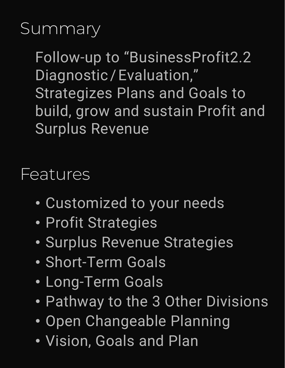## Summary

Follow-up to "BusinessProfit2.2 Diagnostic/Evaluation," Strategizes Plans and Goals to build, grow and sustain Profit and Surplus Revenue

#### Features

- Customized to your needs
- Profit Strategies
- Surplus Revenue Strategies
- Short-Term Goals
- Long-Term Goals
- Pathway to the 3 Other Divisions
- Open Changeable Planning
- Vision, Goals and Plan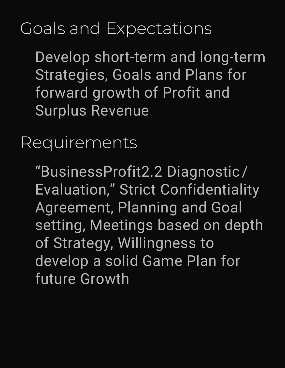## Goals and Expectations

Develop short-term and long-term Strategies, Goals and Plans for forward growth of Profit and Surplus Revenue

#### Requirements

"BusinessProfit2.2 Diagnostic / Evaluation," Strict Confidentiality Agreement, Planning and Goal setting, Meetings based on depth of Strategy, Willingness to develop a solid Game Plan for future Growth